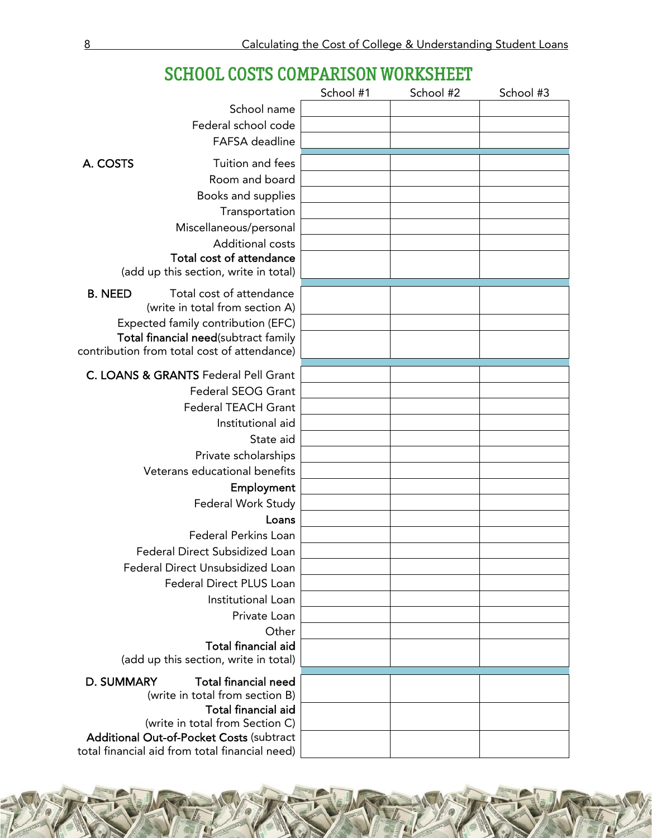|                                                                    | School #1 | School #2 | School #3 |
|--------------------------------------------------------------------|-----------|-----------|-----------|
| School name                                                        |           |           |           |
| Federal school code                                                |           |           |           |
| FAFSA deadline                                                     |           |           |           |
|                                                                    |           |           |           |
| A. COSTS<br>Tuition and fees                                       |           |           |           |
| Room and board                                                     |           |           |           |
| Books and supplies                                                 |           |           |           |
| Transportation                                                     |           |           |           |
| Miscellaneous/personal                                             |           |           |           |
| Additional costs                                                   |           |           |           |
| Total cost of attendance                                           |           |           |           |
| (add up this section, write in total)                              |           |           |           |
| Total cost of attendance<br><b>B. NEED</b>                         |           |           |           |
| (write in total from section A)                                    |           |           |           |
| Expected family contribution (EFC)                                 |           |           |           |
| Total financial need(subtract family                               |           |           |           |
| contribution from total cost of attendance)                        |           |           |           |
| C. LOANS & GRANTS Federal Pell Grant                               |           |           |           |
| <b>Federal SEOG Grant</b>                                          |           |           |           |
| Federal TEACH Grant                                                |           |           |           |
| Institutional aid                                                  |           |           |           |
| State aid                                                          |           |           |           |
| Private scholarships                                               |           |           |           |
| Veterans educational benefits                                      |           |           |           |
| Employment                                                         |           |           |           |
| Federal Work Study                                                 |           |           |           |
| Loans                                                              |           |           |           |
| Federal Perkins Loan                                               |           |           |           |
|                                                                    |           |           |           |
| Federal Direct Subsidized Loan<br>Federal Direct Unsubsidized Loan |           |           |           |
|                                                                    |           |           |           |
| Federal Direct PLUS Loan                                           |           |           |           |
| Institutional Loan                                                 |           |           |           |
| Private Loan                                                       |           |           |           |
| Other<br><b>Total financial aid</b>                                |           |           |           |
| (add up this section, write in total)                              |           |           |           |
|                                                                    |           |           |           |
| <b>Total financial need</b><br><b>D. SUMMARY</b>                   |           |           |           |
| (write in total from section B)                                    |           |           |           |
| <b>Total financial aid</b><br>(write in total from Section C)      |           |           |           |
| <b>Additional Out-of-Pocket Costs (subtract</b>                    |           |           |           |
| total financial aid from total financial need)                     |           |           |           |

# SCHOOL COSTS COMPARISON WORKSHEET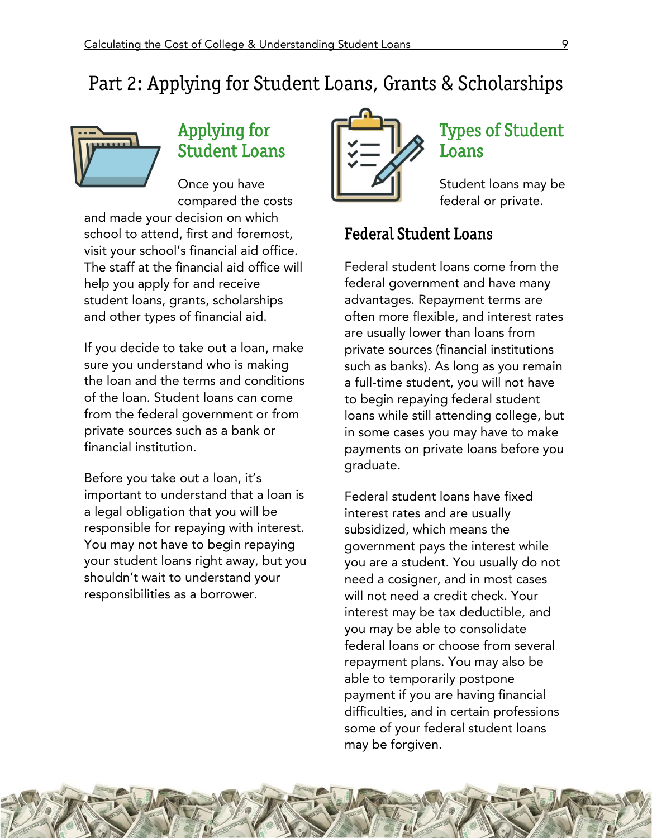# Part 2: Applying for Student Loans, Grants & Scholarships



# Applying for Student Loans

Once you have compared the costs and made your decision on which school to attend, first and foremost, visit your school's financial aid office. The staff at the financial aid office will help you apply for and receive student loans, grants, scholarships and other types of financial aid.

If you decide to take out a loan, make sure you understand who is making the loan and the terms and conditions of the loan. Student loans can come from the federal government or from private sources such as a bank or financial institution.

Before you take out a loan, it's important to understand that a loan is a legal obligation that you will be responsible for repaying with interest. You may not have to begin repaying your student loans right away, but you shouldn't wait to understand your responsibilities as a borrower.



### Types of Student Loans

Student loans may be federal or private.

#### Federal Student Loans

Federal student loans come from the federal government and have many advantages. Repayment terms are often more flexible, and interest rates are usually lower than loans from private sources (financial institutions such as banks). As long as you remain a full-time student, you will not have to begin repaying federal student loans while still attending college, but in some cases you may have to make payments on private loans before you graduate.

Federal student loans have fixed interest rates and are usually subsidized, which means the government pays the interest while you are a student. You usually do not need a cosigner, and in most cases will not need a credit check. Your interest may be tax deductible, and you may be able to consolidate federal loans or choose from several repayment plans. You may also be able to temporarily postpone payment if you are having financial difficulties, and in certain professions some of your federal student loans may be forgiven.

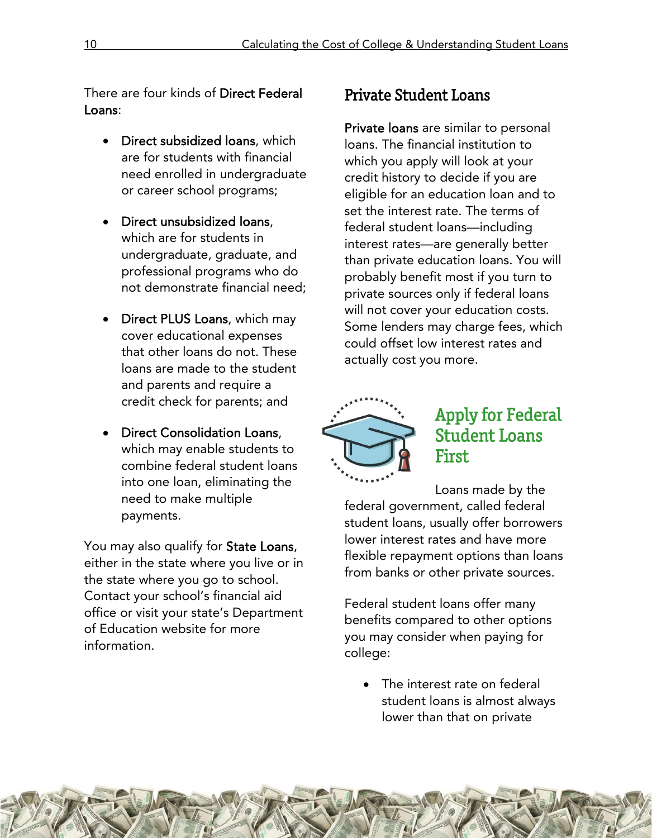There are four kinds of Direct Federal Loans:

- Direct subsidized loans, which are for students with financial need enrolled in undergraduate or career school programs;
- Direct unsubsidized loans, which are for students in undergraduate, graduate, and professional programs who do not demonstrate financial need;
- Direct PLUS Loans, which may cover educational expenses that other loans do not. These loans are made to the student and parents and require a credit check for parents; and
- Direct Consolidation Loans, which may enable students to combine federal student loans into one loan, eliminating the need to make multiple payments.

You may also qualify for State Loans, either in the state where you live or in the state where you go to school. Contact your school's financial aid office or visit your state's Department of Education website for more information.

#### Private Student Loans

Private loans are similar to personal loans. The financial institution to which you apply will look at your credit history to decide if you are eligible for an education loan and to set the interest rate. The terms of federal student loans—including interest rates—are generally better than private education loans. You will probably benefit most if you turn to private sources only if federal loans will not cover your education costs. Some lenders may charge fees, which could offset low interest rates and actually cost you more.



## Apply for Federal Student Loans First

Loans made by the federal government, called federal student loans, usually offer borrowers lower interest rates and have more flexible repayment options than loans from banks or other private sources.

Federal student loans offer many benefits compared to other options you may consider when paying for college:

• The interest rate on federal student loans is almost always lower than that on private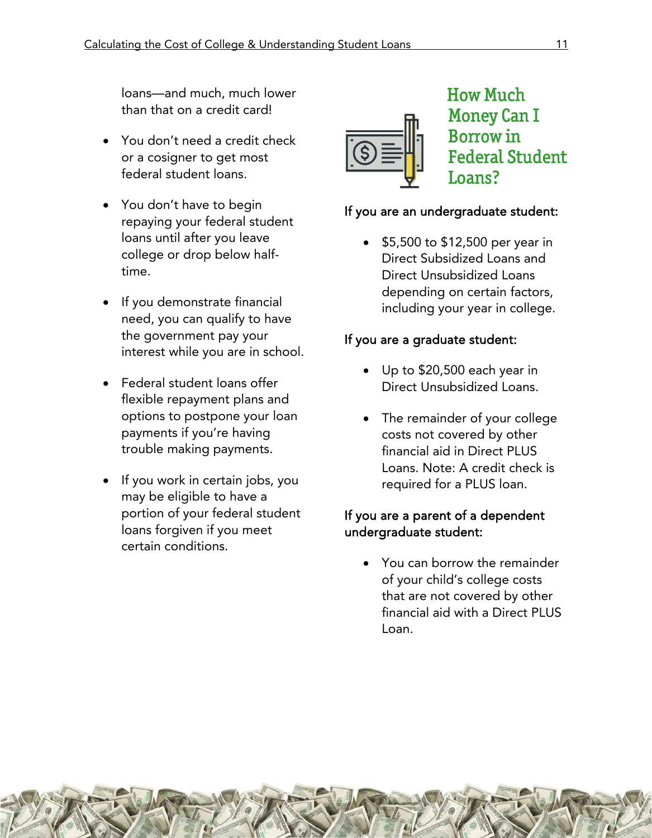loans—and much, much lower than that on a credit card!

- You don't need a credit check or a cosigner to get most federal student loans.
- You don't have to begin repaying your federal student loans until after you leave college or drop below halftime.
- If you demonstrate financial need, you can qualify to have the government pay your interest while you are in school.
- Federal student loans offer flexible repayment plans and options to postpone your loan payments if you're having trouble making payments.
- If you work in certain jobs, you may be eligible to have a portion of your federal student loans forgiven if you meet certain conditions.



### How Much Money Can I Borrow in Federal Student Loans?

#### If you are an undergraduate student:

 \$5,500 to \$12,500 per year in Direct Subsidized Loans and Direct Unsubsidized Loans depending on certain factors, including your year in college.

#### If you are a graduate student:

- Up to \$20,500 each year in Direct Unsubsidized Loans.
- The remainder of your college costs not covered by other financial aid in Direct PLUS Loans. Note: A credit check is required for a PLUS loan.

#### If you are a parent of a dependent undergraduate student:

 You can borrow the remainder of your child's college costs that are not covered by other financial aid with a Direct PLUS Loan.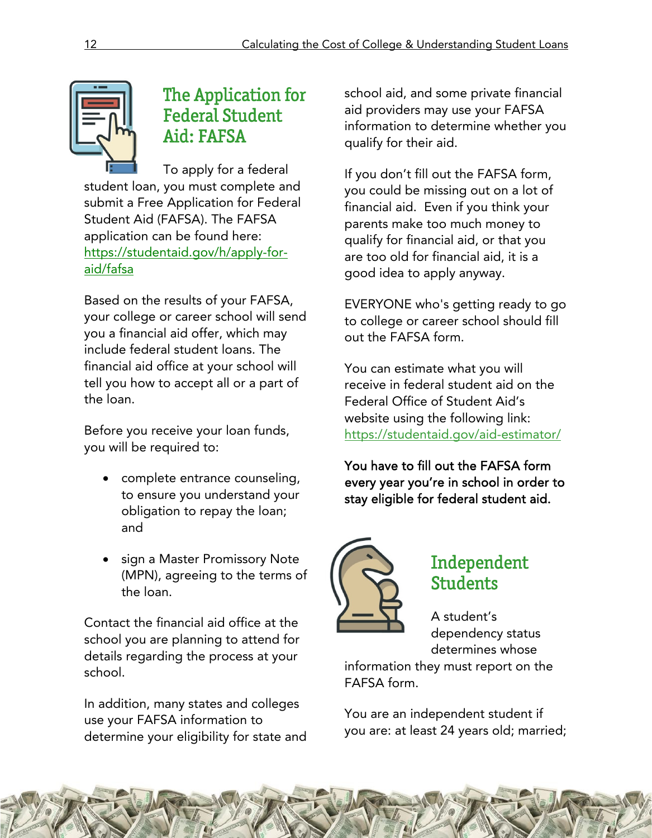

## The Application for Federal Student Aid: FAFSA

To apply for a federal student loan, you must complete and submit a Free Application for Federal Student Aid (FAFSA). The FAFSA application can be found here: https://studentaid.gov/h/apply-foraid/fafsa

Based on the results of your FAFSA, your college or career school will send you a financial aid offer, which may include federal student loans. The financial aid office at your school will tell you how to accept all or a part of the loan.

Before you receive your loan funds, you will be required to:

- complete entrance counseling, to ensure you understand your obligation to repay the loan; and
- sign a Master Promissory Note (MPN), agreeing to the terms of the loan.

Contact the financial aid office at the school you are planning to attend for details regarding the process at your school.

In addition, many states and colleges use your FAFSA information to determine your eligibility for state and school aid, and some private financial aid providers may use your FAFSA information to determine whether you qualify for their aid.

If you don't fill out the FAFSA form, you could be missing out on a lot of financial aid. Even if you think your parents make too much money to qualify for financial aid, or that you are too old for financial aid, it is a good idea to apply anyway.

EVERYONE who's getting ready to go to college or career school should fill out the FAFSA form.

You can estimate what you will receive in federal student aid on the Federal Office of Student Aid's website using the following link: https://studentaid.gov/aid-estimator/

You have to fill out the FAFSA form every year you're in school in order to stay eligible for federal student aid.



#### Independent Students

A student's dependency status determines whose

information they must report on the FAFSA form.

You are an independent student if you are: at least 24 years old; married;